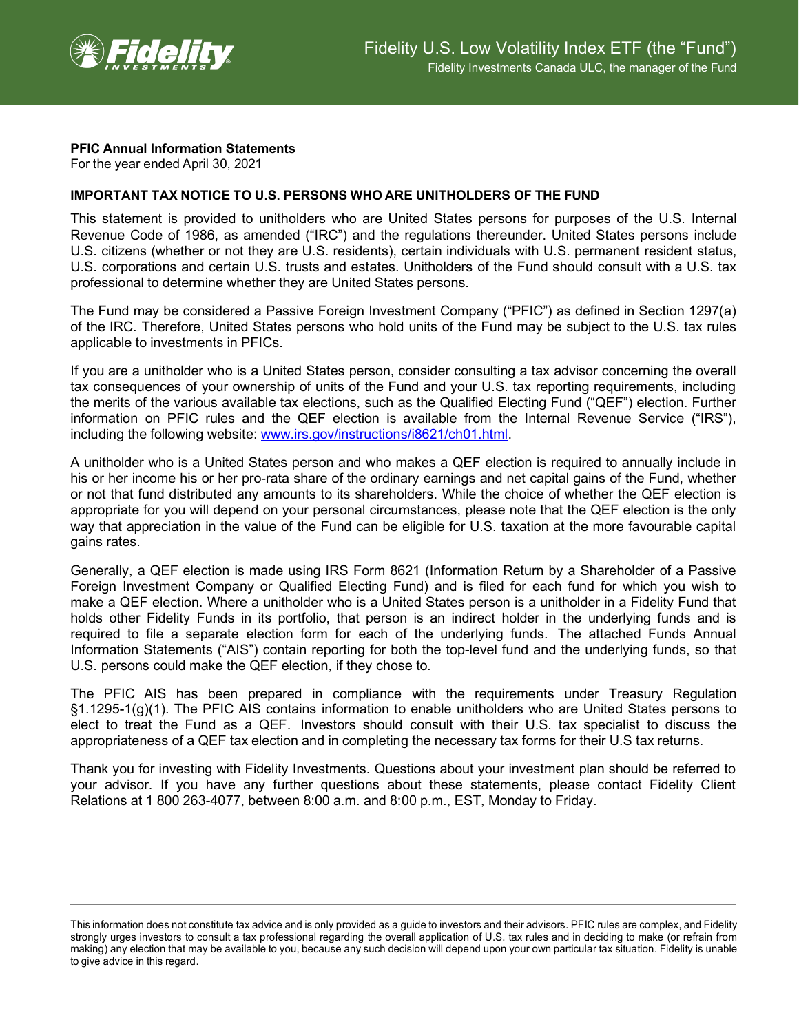

## **PFIC Annual Information Statements**

For the year ended April 30, 2021

## **IMPORTANT TAX NOTICE TO U.S. PERSONS WHO ARE UNITHOLDERS OF THE FUND**

This statement is provided to unitholders who are United States persons for purposes of the U.S. Internal Revenue Code of 1986, as amended ("IRC") and the regulations thereunder. United States persons include U.S. citizens (whether or not they are U.S. residents), certain individuals with U.S. permanent resident status, U.S. corporations and certain U.S. trusts and estates. Unitholders of the Fund should consult with a U.S. tax professional to determine whether they are United States persons.

The Fund may be considered a Passive Foreign Investment Company ("PFIC") as defined in Section 1297(a) of the IRC. Therefore, United States persons who hold units of the Fund may be subject to the U.S. tax rules applicable to investments in PFICs.

If you are a unitholder who is a United States person, consider consulting a tax advisor concerning the overall tax consequences of your ownership of units of the Fund and your U.S. tax reporting requirements, including the merits of the various available tax elections, such as the Qualified Electing Fund ("QEF") election. Further information on PFIC rules and the QEF election is available from the Internal Revenue Service ("IRS"), including the following website: [www.irs.gov/instructions/i8621/ch01.html.](http://www.irs.gov/instructions/i8621/ch01.html)

A unitholder who is a United States person and who makes a QEF election is required to annually include in his or her income his or her pro-rata share of the ordinary earnings and net capital gains of the Fund, whether or not that fund distributed any amounts to its shareholders. While the choice of whether the QEF election is appropriate for you will depend on your personal circumstances, please note that the QEF election is the only way that appreciation in the value of the Fund can be eligible for U.S. taxation at the more favourable capital gains rates.

Generally, a QEF election is made using IRS Form 8621 (Information Return by a Shareholder of a Passive Foreign Investment Company or Qualified Electing Fund) and is filed for each fund for which you wish to make a QEF election. Where a unitholder who is a United States person is a unitholder in a Fidelity Fund that holds other Fidelity Funds in its portfolio, that person is an indirect holder in the underlying funds and is required to file a separate election form for each of the underlying funds. The attached Funds Annual Information Statements ("AIS") contain reporting for both the top-level fund and the underlying funds, so that U.S. persons could make the QEF election, if they chose to.

The PFIC AIS has been prepared in compliance with the requirements under Treasury Regulation §1.1295-1(g)(1). The PFIC AIS contains information to enable unitholders who are United States persons to elect to treat the Fund as a QEF. Investors should consult with their U.S. tax specialist to discuss the appropriateness of a QEF tax election and in completing the necessary tax forms for their U.S tax returns.

Thank you for investing with Fidelity Investments. Questions about your investment plan should be referred to your advisor. If you have any further questions about these statements, please contact Fidelity Client Relations at 1 800 263-4077, between 8:00 a.m. and 8:00 p.m., EST, Monday to Friday.

This information does not constitute tax advice and is only provided as a guide to investors and their advisors. PFIC rules are complex, and Fidelity strongly urges investors to consult a tax professional regarding the overall application of U.S. tax rules and in deciding to make (or refrain from making) any election that may be available to you, because any such decision will depend upon your own particular tax situation. Fidelity is unable to give advice in this regard.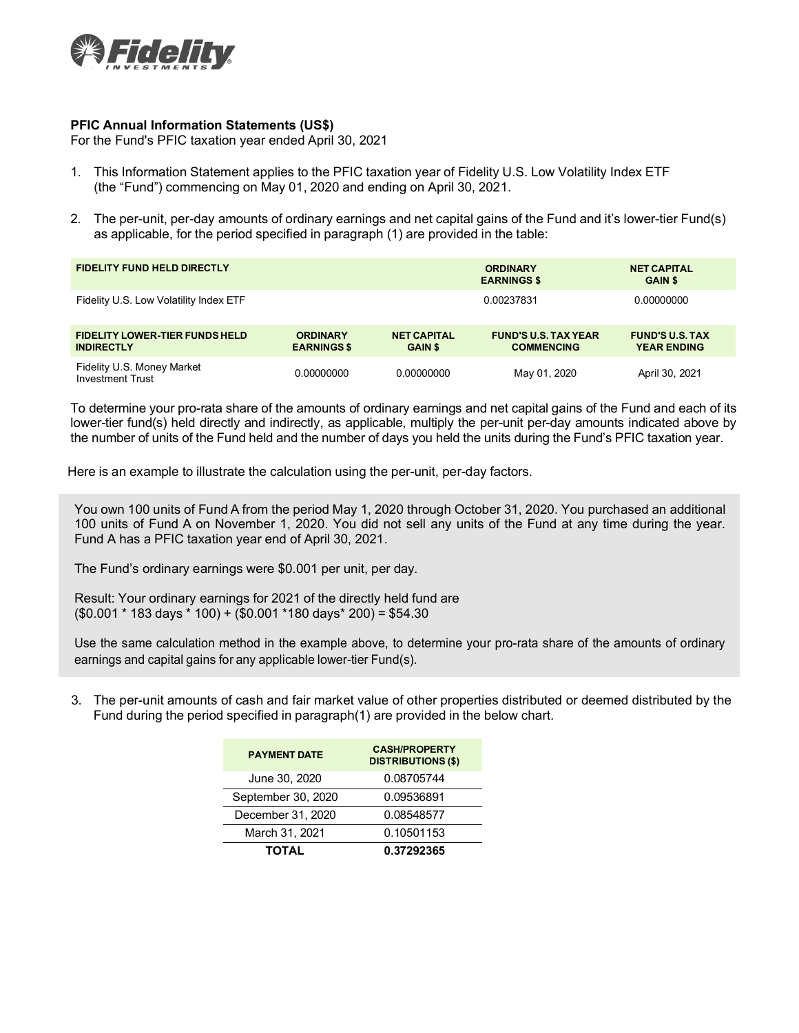

## **PFIC Annual Information Statements (US\$)**

For the Fund's PFIC taxation year ended April 30, 2021

- 1. This Information Statement applies to the PFIC taxation year of Fidelity U.S. Low Volatility Index ETF (the "Fund") commencing on May 01, 2020 and ending on April 30, 2021.
- 2. The per-unit, per-day amounts of ordinary earnings and net capital gains of the Fund and it's lower-tier Fund(s) as applicable, for the period specified in paragraph (1) are provided in the table:

| <b>FIDELITY FUND HELD DIRECTLY</b>                         |                                       |                                      | <b>ORDINARY</b><br><b>EARNINGS \$</b>            | <b>NET CAPITAL</b><br><b>GAIN \$</b>         |  |
|------------------------------------------------------------|---------------------------------------|--------------------------------------|--------------------------------------------------|----------------------------------------------|--|
| Fidelity U.S. Low Volatility Index ETF                     |                                       |                                      | 0.00237831                                       | 0.00000000                                   |  |
| <b>FIDELITY LOWER-TIER FUNDS HELD</b><br><b>INDIRECTLY</b> | <b>ORDINARY</b><br><b>EARNINGS \$</b> | <b>NET CAPITAL</b><br><b>GAIN \$</b> | <b>FUND'S U.S. TAX YEAR</b><br><b>COMMENCING</b> | <b>FUND'S U.S. TAX</b><br><b>YEAR ENDING</b> |  |
| Fidelity U.S. Money Market<br><b>Investment Trust</b>      | 0.00000000                            | 0.00000000                           | May 01, 2020                                     | April 30, 2021                               |  |

To determine your pro-rata share of the amounts of ordinary earnings and net capital gains of the Fund and each of its lower-tier fund(s) held directly and indirectly, as applicable, multiply the per-unit per-day amounts indicated above by the number of units of the Fund held and the number of days you held the units during the Fund's PFIC taxation year.

Here is an example to illustrate the calculation using the per-unit, per-day factors.

You own 100 units of Fund A from the period May 1, 2020 through October 31, 2020. You purchased an additional 100 units of Fund A on November 1, 2020. You did not sell any units of the Fund at any time during the year. Fund A has a PFIC taxation year end of April 30, 2021.

The Fund's ordinary earnings were \$0.001 per unit, per day.

Result: Your ordinary earnings for 2021 of the directly held fund are (\$0.001 \* 183 days \* 100) + (\$0.001 \*180 days\* 200) = \$54.30

Use the same calculation method in the example above, to determine your pro-rata share of the amounts of ordinary earnings and capital gains for any applicable lower-tier Fund(s).

3. The per-unit amounts of cash and fair market value of other properties distributed or deemed distributed by the Fund during the period specified in paragraph(1) are provided in the below chart.

| <b>PAYMENT DATE</b> | <b>CASH/PROPERTY</b><br><b>DISTRIBUTIONS (\$)</b> |  |  |
|---------------------|---------------------------------------------------|--|--|
| June 30, 2020       | 0.08705744                                        |  |  |
| September 30, 2020  | 0.09536891                                        |  |  |
| December 31, 2020   | 0.08548577                                        |  |  |
| March 31, 2021      | 0.10501153                                        |  |  |
| <b>TOTAL</b>        | 0.37292365                                        |  |  |